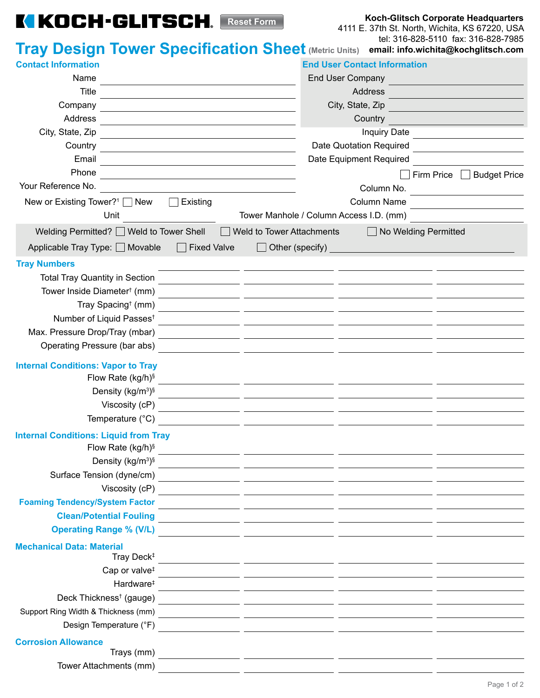## **KIKOCH-GLITSCH.** Reset Form

**Koch-Glitsch Corporate Headquarters**

4111 E. 37th St. North, Wichita, KS 67220, USA tel: 316-828-5110 fax: 316-828-7985

|                                                                                                                                                                                                                                          | <b>Tray Design Tower Specification Sheet (Metric Units) email: info.wichita@kochglitsch.com</b>                                     |
|------------------------------------------------------------------------------------------------------------------------------------------------------------------------------------------------------------------------------------------|-------------------------------------------------------------------------------------------------------------------------------------|
| <b>Contact Information</b>                                                                                                                                                                                                               | <b>End User Contact Information</b>                                                                                                 |
| Name<br>the control of the control of the control of the control of the control of the control of                                                                                                                                        | End User Company                                                                                                                    |
| <b>Title</b>                                                                                                                                                                                                                             | Address                                                                                                                             |
| Company                                                                                                                                                                                                                                  | City, State, Zip                                                                                                                    |
| Address                                                                                                                                                                                                                                  | Country                                                                                                                             |
| City, State, Zip                                                                                                                                                                                                                         | <b>Inquiry Date</b>                                                                                                                 |
| Country<br>the control of the control of the control of the control of the control of the control of the control of the control of the control of the control of the control of the control of the control of the control of the control | Date Quotation Required                                                                                                             |
| Email                                                                                                                                                                                                                                    | Date Equipment Required                                                                                                             |
| Phone                                                                                                                                                                                                                                    | Firm Price $\Box$<br><b>Budget Price</b>                                                                                            |
| Your Reference No.                                                                                                                                                                                                                       | Column No.<br><u> 1989 - Johann Harry Harry Harry Harry Harry Harry Harry Harry Harry Harry Harry Harry Harry Harry Harry Harry</u> |
| New or Existing Tower? <sup>1</sup> $\Box$ New<br>Existing<br>$\Box$                                                                                                                                                                     | Column Name                                                                                                                         |
| Unit                                                                                                                                                                                                                                     | Tower Manhole / Column Access I.D. (mm)                                                                                             |
| Welding Permitted? Weld to Tower Shell                                                                                                                                                                                                   | Weld to Tower Attachments<br>No Welding Permitted<br>$\mathbf{1}$                                                                   |
| Applicable Tray Type: □ Movable<br>$\Box$ Fixed Valve                                                                                                                                                                                    | $\Box$ Other (specify)                                                                                                              |
|                                                                                                                                                                                                                                          | <u> 1989 - Johann Barbara, martxa alemaniar a</u>                                                                                   |
| <b>Tray Numbers</b><br><b>Total Tray Quantity in Section</b>                                                                                                                                                                             |                                                                                                                                     |
| Tower Inside Diameter <sup>†</sup> (mm)                                                                                                                                                                                                  |                                                                                                                                     |
| Tray Spacing <sup>†</sup> (mm)                                                                                                                                                                                                           |                                                                                                                                     |
| Number of Liquid Passes <sup>t</sup>                                                                                                                                                                                                     |                                                                                                                                     |
| Max. Pressure Drop/Tray (mbar)                                                                                                                                                                                                           |                                                                                                                                     |
| Operating Pressure (bar abs)                                                                                                                                                                                                             |                                                                                                                                     |
|                                                                                                                                                                                                                                          | <u> 1989 - Andrea Andrew Maria (h. 1989).</u>                                                                                       |
| <b>Internal Conditions: Vapor to Tray</b>                                                                                                                                                                                                |                                                                                                                                     |
| Flow Rate (kg/h) <sup>§</sup>                                                                                                                                                                                                            | <u> 1999 - Johann John Stein, mars an deutscher Stein (d. 1989)</u>                                                                 |
| Density (kg/m <sup>3</sup> )§                                                                                                                                                                                                            | <u> 1989 - Andrea Sterne, president amerikansk politiker (d. 1989)</u>                                                              |
| Viscosity (cP)                                                                                                                                                                                                                           | <u> 1989 - Johann John Stein, markin film fan it ferstjer fan it ferstjer fan it ferstjer fan it ferstjer fan it</u>                |
| Temperature (°C)                                                                                                                                                                                                                         | <u> 1980 - Jan James James, martin a</u>                                                                                            |
| <b>Internal Conditions: Liquid from Tray</b>                                                                                                                                                                                             |                                                                                                                                     |
| Flow Rate $(kg/h)^{s}$                                                                                                                                                                                                                   | <u> 1989 - Johann John Stone, mars eta inperiodo eta inperiodo eta inperiodo eta inperiodo eta inperiodo eta inp</u>                |
|                                                                                                                                                                                                                                          |                                                                                                                                     |
|                                                                                                                                                                                                                                          |                                                                                                                                     |
| Viscosity (cP)                                                                                                                                                                                                                           |                                                                                                                                     |
| <b>Foaming Tendency/System Factor</b>                                                                                                                                                                                                    |                                                                                                                                     |
| <b>Clean/Potential Fouling</b>                                                                                                                                                                                                           | <u> 1999 - Johann John Stone, mars et al. (1999)</u>                                                                                |
| <b>Operating Range % (V/L)</b>                                                                                                                                                                                                           | <u> 1980 - Antonio Alemania, politika in predsjednik i po</u>                                                                       |
| <b>Mechanical Data: Material</b>                                                                                                                                                                                                         |                                                                                                                                     |
| Tray Deck <sup>‡</sup>                                                                                                                                                                                                                   | <u> 1999 - Jan James James, politik fizikar (h. 1989).</u>                                                                          |
| Cap or valve <sup>#</sup>                                                                                                                                                                                                                |                                                                                                                                     |
| Hardware <sup>‡</sup>                                                                                                                                                                                                                    |                                                                                                                                     |
| Deck Thickness <sup>†</sup> (gauge)                                                                                                                                                                                                      | <u> 1989 - Andrea Stadt Brander, amerikansk politiker (d. 1989)</u>                                                                 |
| Support Ring Width & Thickness (mm)                                                                                                                                                                                                      | <u> 1999 - Jan James James, politik fizikar (h. 1918).</u>                                                                          |
| Design Temperature (°F)                                                                                                                                                                                                                  | <u> 1989 - Andrea Andrew Maria (h. 1989).</u>                                                                                       |
| <b>Corrosion Allowance</b>                                                                                                                                                                                                               |                                                                                                                                     |
| Trays (mm)                                                                                                                                                                                                                               |                                                                                                                                     |
| Tower Attachments (mm)                                                                                                                                                                                                                   |                                                                                                                                     |